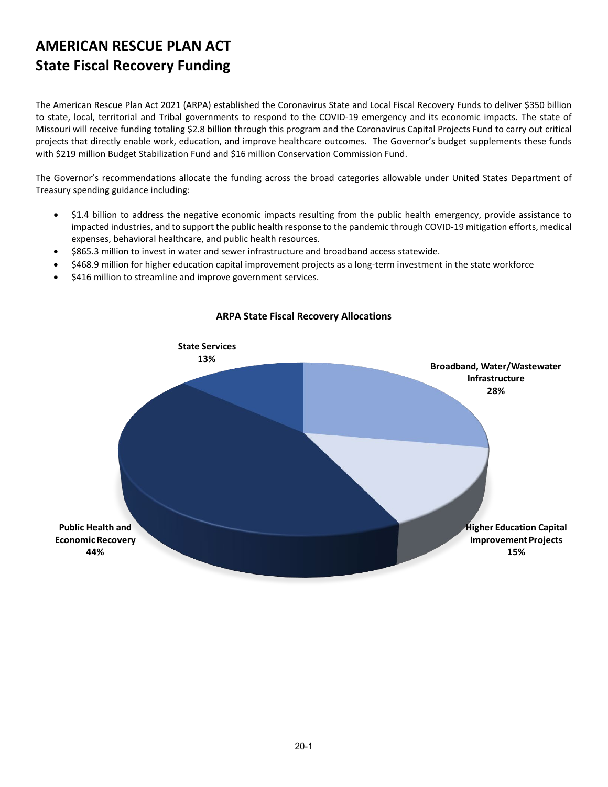## **AMERICAN RESCUE PLAN ACT State Fiscal Recovery Funding**

The American Rescue Plan Act 2021 (ARPA) established the Coronavirus State and Local Fiscal Recovery Funds to deliver \$350 billion to state, local, territorial and Tribal governments to respond to the COVID-19 emergency and its economic impacts. The state of Missouri will receive funding totaling \$2.8 billion through this program and the Coronavirus Capital Projects Fund to carry out critical projects that directly enable work, education, and improve healthcare outcomes. The Governor's budget supplements these funds with \$219 million Budget Stabilization Fund and \$16 million Conservation Commission Fund.

The Governor's recommendations allocate the funding across the broad categories allowable under United States Department of Treasury spending guidance including:

- \$1.4 billion to address the negative economic impacts resulting from the public health emergency, provide assistance to impacted industries, and to support the public health response to the pandemic through COVID-19 mitigation efforts, medical expenses, behavioral healthcare, and public health resources.
- \$865.3 million to invest in water and sewer infrastructure and broadband access statewide.
- \$468.9 million for higher education capital improvement projects as a long-term investment in the state workforce
- \$416 million to streamline and improve government services.



#### **ARPA State Fiscal Recovery Allocations**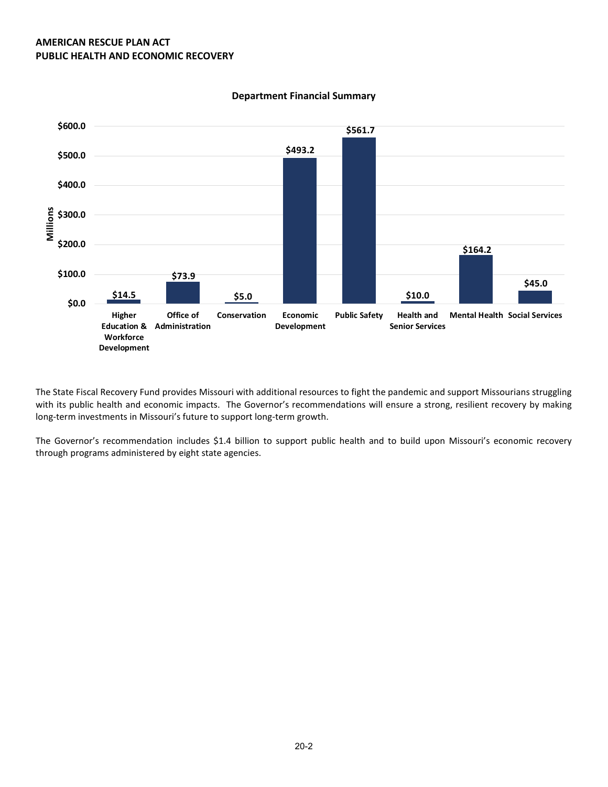

#### **Department Financial Summary**

The State Fiscal Recovery Fund provides Missouri with additional resources to fight the pandemic and support Missourians struggling with its public health and economic impacts. The Governor's recommendations will ensure a strong, resilient recovery by making long-term investments in Missouri's future to support long-term growth.

The Governor's recommendation includes \$1.4 billion to support public health and to build upon Missouri's economic recovery through programs administered by eight state agencies.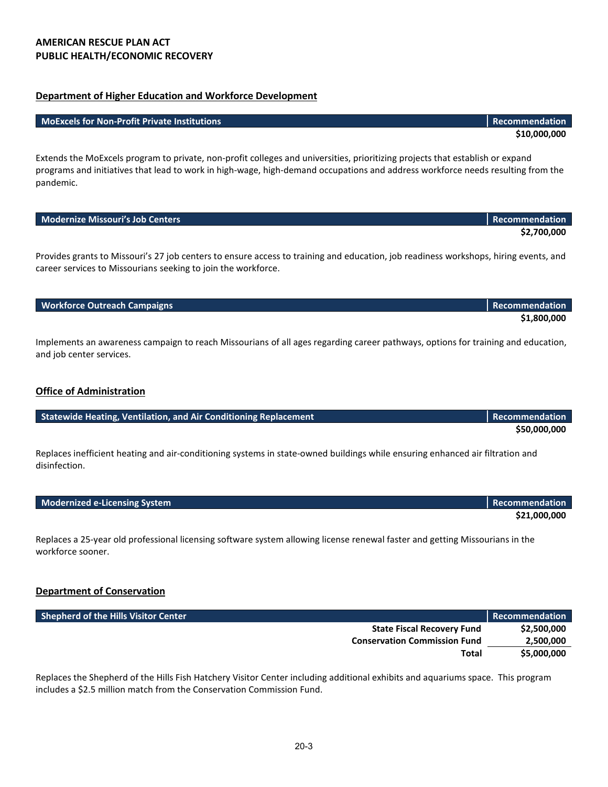#### **Department of Higher Education and Workforce Development**

#### **MoExcels for Non-Profit Private Institutions Recommendation**

Extends the MoExcels program to private, non-profit colleges and universities, prioritizing projects that establish or expand programs and initiatives that lead to work in high-wage, high-demand occupations and address workforce needs resulting from the pandemic.

| <b>Modernize Missouri's Job Centers</b>                                                                                                                                                               | Recommendation        |
|-------------------------------------------------------------------------------------------------------------------------------------------------------------------------------------------------------|-----------------------|
|                                                                                                                                                                                                       | \$2,700,000           |
| Provides grants to Missouri's 27 job centers to ensure access to training and education, job readiness workshops, hiring events, and<br>career services to Missourians seeking to join the workforce. |                       |
| <b>Workforce Outreach Campaigns</b>                                                                                                                                                                   | <b>Recommendation</b> |
|                                                                                                                                                                                                       | \$1,800,000           |
| Implements an awareness campaign to reach Missourians of all ages regarding career pathways, options for training and education,<br>and job center services.                                          |                       |

#### **Office of Administration**

| <b>Statewide Heating, Ventilation, and Air Conditioning Replacement</b> | <b>Recommendation</b> |
|-------------------------------------------------------------------------|-----------------------|
|                                                                         | SSO OOO OOO           |

Replaces inefficient heating and air-conditioning systems in state-owned buildings while ensuring enhanced air filtration and disinfection.

| Modernized e-Licensing System | Recommendation |
|-------------------------------|----------------|
|                               | \$21,000,000   |

Replaces a 25-year old professional licensing software system allowing license renewal faster and getting Missourians in the workforce sooner.

#### **Department of Conservation**

| <b>Shepherd of the Hills Visitor Center</b> | Recommendation |
|---------------------------------------------|----------------|
| <b>State Fiscal Recovery Fund</b>           | \$2,500,000    |
| <b>Conservation Commission Fund</b>         | 2,500,000      |
| Total                                       | \$5,000,000    |

Replaces the Shepherd of the Hills Fish Hatchery Visitor Center including additional exhibits and aquariums space. This program includes a \$2.5 million match from the Conservation Commission Fund.

**\$10,000,000**

**\$50,000,000**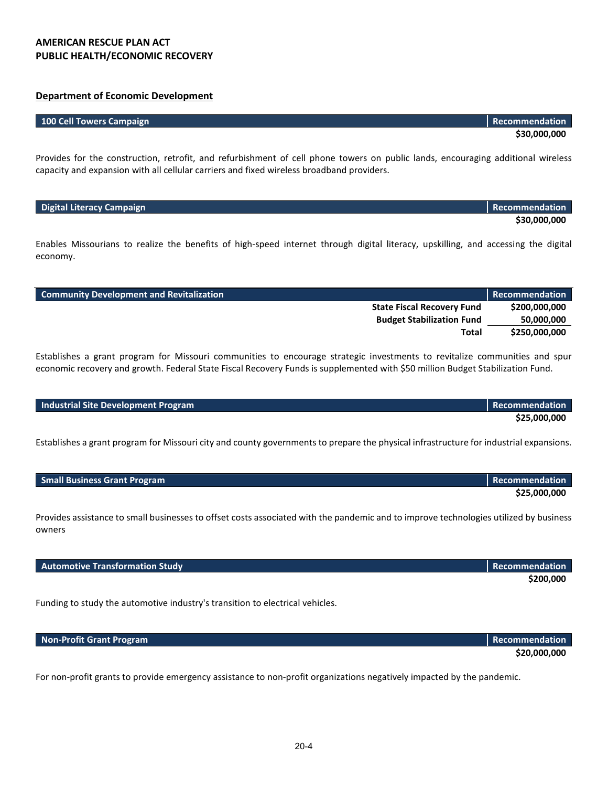#### **AMERICAN RESCUE PLAN ACT PUBLIC HEALTH/ECONOMIC RECOVERY**

### **Department of Economic Development**

#### **100 Cell Towers Campaign Recommendation Recommendation Recommendation**

Provides for the construction, retrofit, and refurbishment of cell phone towers on public lands, encouraging additional wireless capacity and expansion with all cellular carriers and fixed wireless broadband providers.

| Digital Literacy Campaign | Recommendation |
|---------------------------|----------------|
|                           | \$30,000,000   |

Enables Missourians to realize the benefits of high-speed internet through digital literacy, upskilling, and accessing the digital economy.

| <b>Community Development and Revitalization</b> | Recommendation |
|-------------------------------------------------|----------------|
| <b>State Fiscal Recovery Fund</b>               | \$200,000,000  |
| <b>Budget Stabilization Fund</b>                | 50,000,000     |
| Total                                           | \$250,000,000  |

Establishes a grant program for Missouri communities to encourage strategic investments to revitalize communities and spur economic recovery and growth. Federal State Fiscal Recovery Funds is supplemented with \$50 million Budget Stabilization Fund.

#### **Industrial Site Development Program Recommendation Recommendation**

Establishes a grant program for Missouri city and county governments to prepare the physical infrastructure for industrial expansions.

| <b>Small Business Grant Program</b> | Recommendation |
|-------------------------------------|----------------|
|                                     | \$25,000,000   |

Provides assistance to small businesses to offset costs associated with the pandemic and to improve technologies utilized by business owners

**Automotive Transformation Study Recommendation**

Funding to study the automotive industry's transition to electrical vehicles.

| Non-Profit Grant Program | Recommendation |
|--------------------------|----------------|
|                          | \$20,000,000   |

For non-profit grants to provide emergency assistance to non-profit organizations negatively impacted by the pandemic.

**\$30,000,000**

**\$25,000,000**

**\$200,000**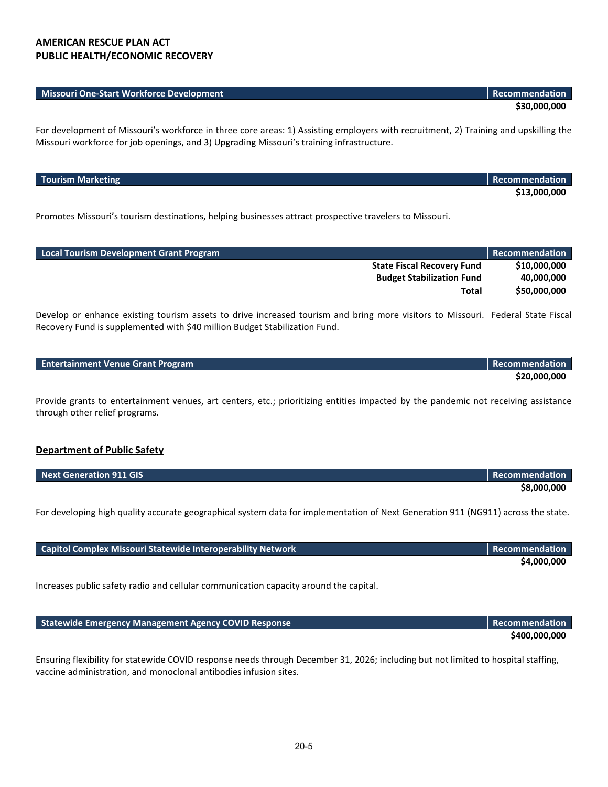#### **AMERICAN RESCUE PLAN ACT PUBLIC HEALTH/ECONOMIC RECOVERY**

| <b>Missouri One-Start Workforce Development</b> | <b>I</b> Recommendation |  |
|-------------------------------------------------|-------------------------|--|
|                                                 | \$30,000,000            |  |

For development of Missouri's workforce in three core areas: 1) Assisting employers with recruitment, 2) Training and upskilling the Missouri workforce for job openings, and 3) Upgrading Missouri's training infrastructure.

| <b>Tourism Marketing</b> | Recommendation \ |
|--------------------------|------------------|
|                          | \$13,000,000     |

Promotes Missouri's tourism destinations, helping businesses attract prospective travelers to Missouri.

| <b>Local Tourism Development Grant Program</b> | Recommendation |
|------------------------------------------------|----------------|
| <b>State Fiscal Recovery Fund</b>              | \$10,000,000   |
| <b>Budget Stabilization Fund</b>               | 40,000,000     |
| Total                                          | \$50,000,000   |

Develop or enhance existing tourism assets to drive increased tourism and bring more visitors to Missouri. Federal State Fiscal Recovery Fund is supplemented with \$40 million Budget Stabilization Fund.

| <b>Entertainment Venue Grant Program</b> | Recommendation |
|------------------------------------------|----------------|
|                                          | \$20,000,000   |

Provide grants to entertainment venues, art centers, etc.; prioritizing entities impacted by the pandemic not receiving assistance through other relief programs.

#### **Department of Public Safety**

| Next Generation 911 GIS | <b>Recommendation</b> |
|-------------------------|-----------------------|
|                         | \$8,000,000           |

For developing high quality accurate geographical system data for implementation of Next Generation 911 (NG911) across the state.

| <b>Capitol Complex Missouri Statewide Interoperability Network</b> | <b>Recommendation</b> |
|--------------------------------------------------------------------|-----------------------|
|                                                                    | \$4,000,000           |

Increases public safety radio and cellular communication capacity around the capital.

**Statewide Emergency Management Agency COVID Response Recommendation Recommendation** 

Ensuring flexibility for statewide COVID response needs through December 31, 2026; including but not limited to hospital staffing, vaccine administration, and monoclonal antibodies infusion sites.

**\$400,000,000**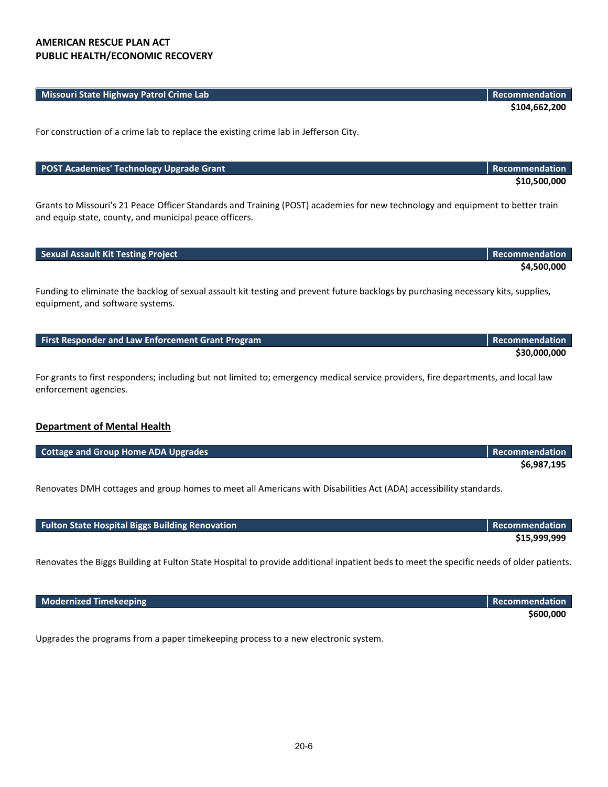#### **Missouri State Highway Patrol Crime Lab Recommendation**

**\$104,662,200**

For construction of a crime lab to replace the existing crime lab in Jefferson City.

#### **POST Academies' Technology Upgrade Grant Recommendation Recommendation Recommendation**

**\$10,500,000**

Grants to Missouri's 21 Peace Officer Standards and Training (POST) academies for new technology and equipment to better train and equip state, county, and municipal peace officers.

| <b>Sexual Assault Kit Testing Project</b> | <b>Recommendation</b> |
|-------------------------------------------|-----------------------|
|                                           | \$4,500,000           |

Funding to eliminate the backlog of sexual assault kit testing and prevent future backlogs by purchasing necessary kits, supplies, equipment, and software systems.

| <b>First Responder and Law Enforcement Grant Program</b> | Recommendation |
|----------------------------------------------------------|----------------|
|                                                          | \$30,000,000   |

For grants to first responders; including but not limited to; emergency medical service providers, fire departments, and local law enforcement agencies.

#### **Department of Mental Health**

| <b>Cottage and Group Home ADA Upgrades</b> | Recommendation |
|--------------------------------------------|----------------|
|                                            | \$6,987,195    |

Renovates DMH cottages and group homes to meet all Americans with Disabilities Act (ADA) accessibility standards.

| <b>Fulton State Hospital Biggs Building Renovation</b> | <b>Recommendation</b> |
|--------------------------------------------------------|-----------------------|
|                                                        | \$15,999,999          |

Renovates the Biggs Building at Fulton State Hospital to provide additional inpatient beds to meet the specific needs of older patients.

| <b>Modernized Timekeeping</b> | Recommendation |
|-------------------------------|----------------|
|                               | \$600,000      |

Upgrades the programs from a paper timekeeping process to a new electronic system.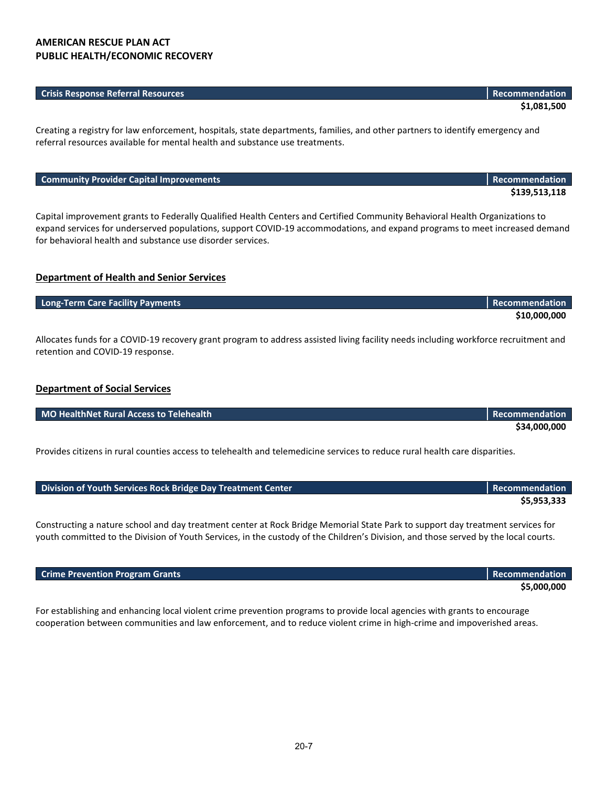#### **AMERICAN RESCUE PLAN ACT PUBLIC HEALTH/ECONOMIC RECOVERY**

#### **Crisis Response Referral Resources Recommendation**

**\$1,081,500**

**\$139,513,118**

**\$5,000,000**

Creating a registry for law enforcement, hospitals, state departments, families, and other partners to identify emergency and referral resources available for mental health and substance use treatments.

#### **Community Provider Capital Improvements Recommendation Recommendation Recommendation**

Capital improvement grants to Federally Qualified Health Centers and Certified Community Behavioral Health Organizations to expand services for underserved populations, support COVID-19 accommodations, and expand programs to meet increased demand for behavioral health and substance use disorder services.

#### **Department of Health and Senior Services**

| Long-Term Care Facility Payments                                                                                                    | Recommendation |
|-------------------------------------------------------------------------------------------------------------------------------------|----------------|
|                                                                                                                                     | \$10,000,000   |
| Allocates funds for a COVID-19 recovery grant program to address assisted living facility needs including workforce recruitment and |                |
| retention and COVID-19 response.                                                                                                    |                |

#### **Department of Social Services**

| MO HealthNet Rural Access to Telehealth | Recommendation |
|-----------------------------------------|----------------|
|                                         | \$34,000,000   |

Provides citizens in rural counties access to telehealth and telemedicine services to reduce rural health care disparities.

| Division of Youth Services Rock Bridge Day Treatment Center | <b>Recommendation</b> |
|-------------------------------------------------------------|-----------------------|
|                                                             | \$5,953,333           |

Constructing a nature school and day treatment center at Rock Bridge Memorial State Park to support day treatment services for youth committed to the Division of Youth Services, in the custody of the Children's Division, and those served by the local courts.

#### **Crime Prevention Program Grants Recommendation Recommendation**

For establishing and enhancing local violent crime prevention programs to provide local agencies with grants to encourage cooperation between communities and law enforcement, and to reduce violent crime in high-crime and impoverished areas.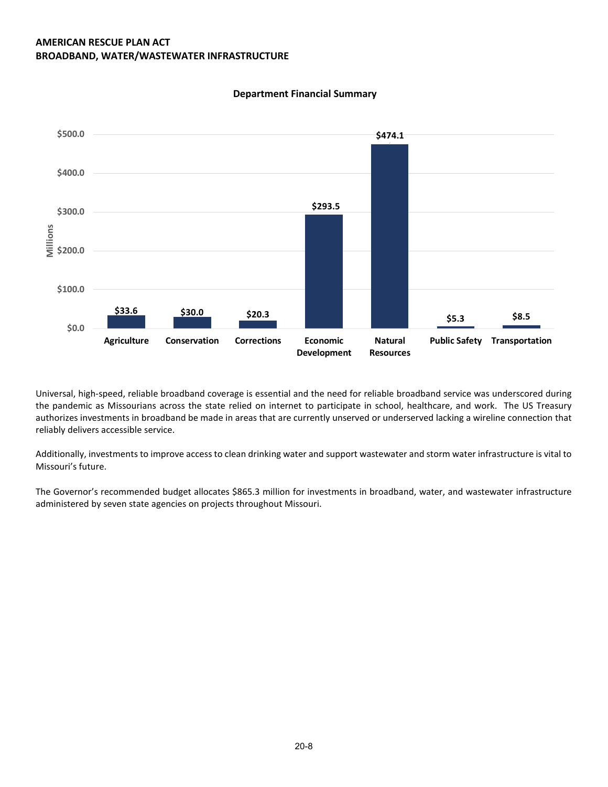#### **AMERICAN RESCUE PLAN ACT BROADBAND, WATER/WASTEWATER INFRASTRUCTURE**



#### **Department Financial Summary**

Universal, high-speed, reliable broadband coverage is essential and the need for reliable broadband service was underscored during the pandemic as Missourians across the state relied on internet to participate in school, healthcare, and work. The US Treasury authorizes investments in broadband be made in areas that are currently unserved or underserved lacking a wireline connection that reliably delivers accessible service.

Additionally, investments to improve access to clean drinking water and support wastewater and storm water infrastructure is vital to Missouri's future.

The Governor's recommended budget allocates \$865.3 million for investments in broadband, water, and wastewater infrastructure administered by seven state agencies on projects throughout Missouri.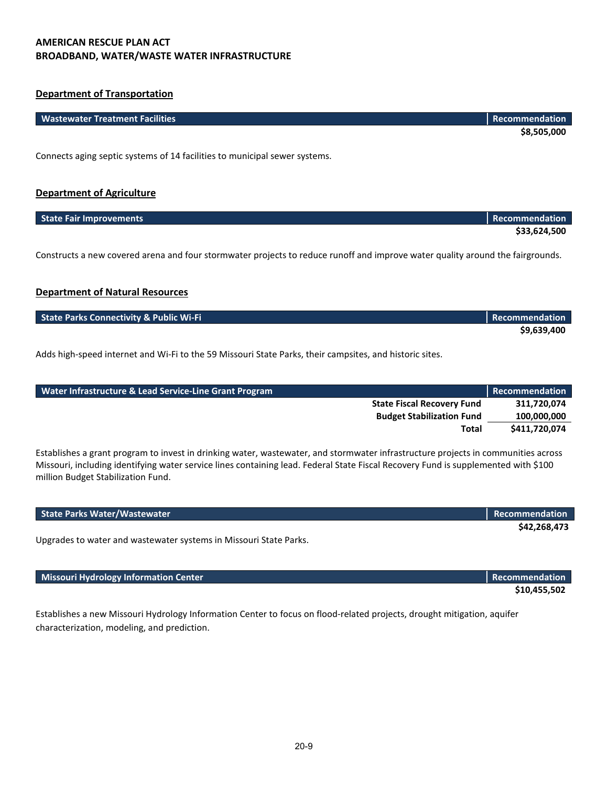#### **AMERICAN RESCUE PLAN ACT BROADBAND, WATER/WASTE WATER INFRASTRUCTURE**

#### **Department of Transportation**

| <b>Wastewater Treatment Facilities</b>                                     | Recommendation |
|----------------------------------------------------------------------------|----------------|
|                                                                            | \$8,505,000    |
| Connects aging septic systems of 14 facilities to municipal sewer systems. |                |
| <b>Department of Agriculture</b>                                           |                |

| <b>State Fair Improvements</b> | <b>Recommendation</b> |
|--------------------------------|-----------------------|
|                                | \$33,624,500          |

Constructs a new covered arena and four stormwater projects to reduce runoff and improve water quality around the fairgrounds.

### **Department of Natural Resources**

| <b>State Parks Connectivity &amp; Public Wi-Fi</b> | <b>Recommendation</b> |
|----------------------------------------------------|-----------------------|
|                                                    | \$9,639,400           |

Adds high-speed internet and Wi-Fi to the 59 Missouri State Parks, their campsites, and historic sites.

| Water Infrastructure & Lead Service-Line Grant Program | Recommendation |
|--------------------------------------------------------|----------------|
| <b>State Fiscal Recovery Fund</b>                      | 311.720.074    |
| <b>Budget Stabilization Fund</b>                       | 100,000,000    |
| Total                                                  | \$411,720,074  |

Establishes a grant program to invest in drinking water, wastewater, and stormwater infrastructure projects in communities across Missouri, including identifying water service lines containing lead. Federal State Fiscal Recovery Fund is supplemented with \$100 million Budget Stabilization Fund.

| <b>State Parks Water/Wastewater</b>                               | <b>Recommendation</b> |
|-------------------------------------------------------------------|-----------------------|
|                                                                   | \$42.268.473          |
| Upgrades to water and wastewater systems in Missouri State Parks. |                       |

**\$10,455,502**

**Missouri Hydrology Information Center Recommendation Recommendation Recommendation** 

Establishes a new Missouri Hydrology Information Center to focus on flood-related projects, drought mitigation, aquifer characterization, modeling, and prediction.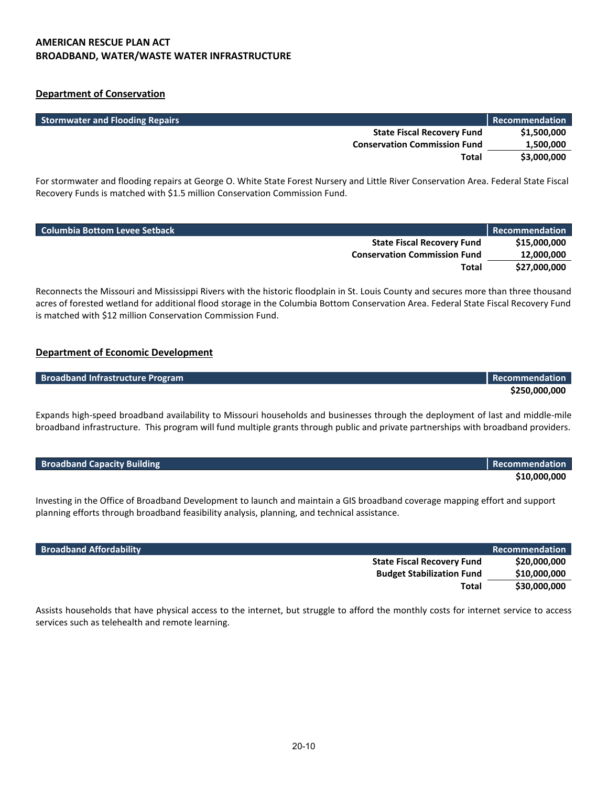#### **AMERICAN RESCUE PLAN ACT BROADBAND, WATER/WASTE WATER INFRASTRUCTURE**

#### **Department of Conservation**

| <b>Stormwater and Flooding Repairs</b> | Recommendation |
|----------------------------------------|----------------|
| <b>State Fiscal Recovery Fund</b>      | \$1,500,000    |
| <b>Conservation Commission Fund</b>    | 1,500,000      |
| Total                                  | \$3,000,000    |

For stormwater and flooding repairs at George O. White State Forest Nursery and Little River Conservation Area. Federal State Fiscal Recovery Funds is matched with \$1.5 million Conservation Commission Fund.

| <b>Columbia Bottom Levee Setback</b> | Recommendation |
|--------------------------------------|----------------|
| <b>State Fiscal Recovery Fund</b>    | \$15,000,000   |
| <b>Conservation Commission Fund</b>  | 12,000,000     |
| Total                                | \$27.000.000   |

Reconnects the Missouri and Mississippi Rivers with the historic floodplain in St. Louis County and secures more than three thousand acres of forested wetland for additional flood storage in the Columbia Bottom Conservation Area. Federal State Fiscal Recovery Fund is matched with \$12 million Conservation Commission Fund.

#### **Department of Economic Development**

| <b>Broadband Infrastructure Program</b> | Recommendation |
|-----------------------------------------|----------------|
|                                         | \$250,000,000  |

Expands high-speed broadband availability to Missouri households and businesses through the deployment of last and middle-mile broadband infrastructure. This program will fund multiple grants through public and private partnerships with broadband providers.

| <b>Broadband Capacity Building</b> | Recommendation |
|------------------------------------|----------------|
|                                    | \$10,000,000   |

Investing in the Office of Broadband Development to launch and maintain a GIS broadband coverage mapping effort and support planning efforts through broadband feasibility analysis, planning, and technical assistance.

| <b>Broadband Affordability</b>    | Recommendation |
|-----------------------------------|----------------|
| <b>State Fiscal Recovery Fund</b> | \$20,000,000   |
| <b>Budget Stabilization Fund</b>  | \$10,000,000   |
| Total                             | \$30,000,000   |

Assists households that have physical access to the internet, but struggle to afford the monthly costs for internet service to access services such as telehealth and remote learning.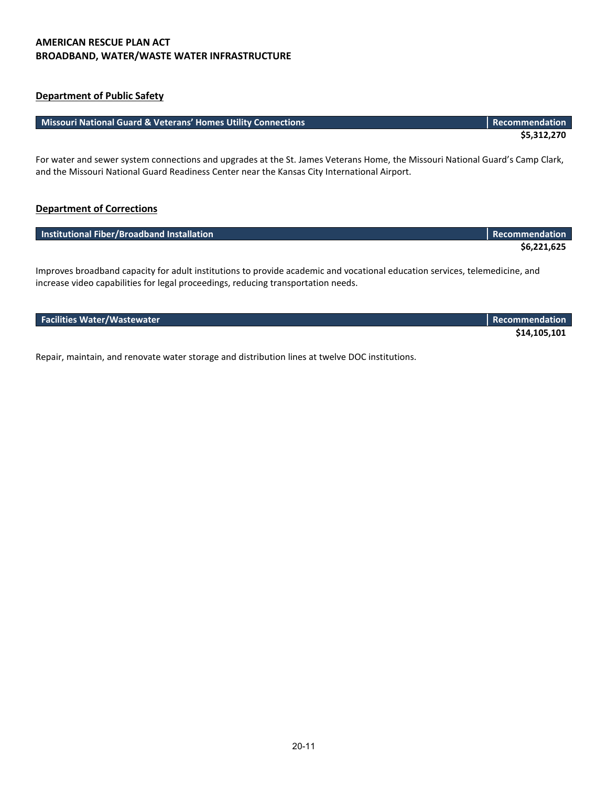#### **AMERICAN RESCUE PLAN ACT BROADBAND, WATER/WASTE WATER INFRASTRUCTURE**

### **Department of Public Safety**

#### **Missouri National Guard & Veterans' Homes Utility Connections Recommendation Recommendation**

For water and sewer system connections and upgrades at the St. James Veterans Home, the Missouri National Guard's Camp Clark, and the Missouri National Guard Readiness Center near the Kansas City International Airport.

#### **Department of Corrections**

| Institutional Fiber/Broadband Installation | Recommendation |
|--------------------------------------------|----------------|
|                                            | \$6,221,625    |
|                                            |                |

Improves broadband capacity for adult institutions to provide academic and vocational education services, telemedicine, and increase video capabilities for legal proceedings, reducing transportation needs.

| <b>Facilities Water/Wastewater</b> | <b>Recommendation</b> |
|------------------------------------|-----------------------|
|                                    | \$14,105,101          |

Repair, maintain, and renovate water storage and distribution lines at twelve DOC institutions.

**\$5,312,270**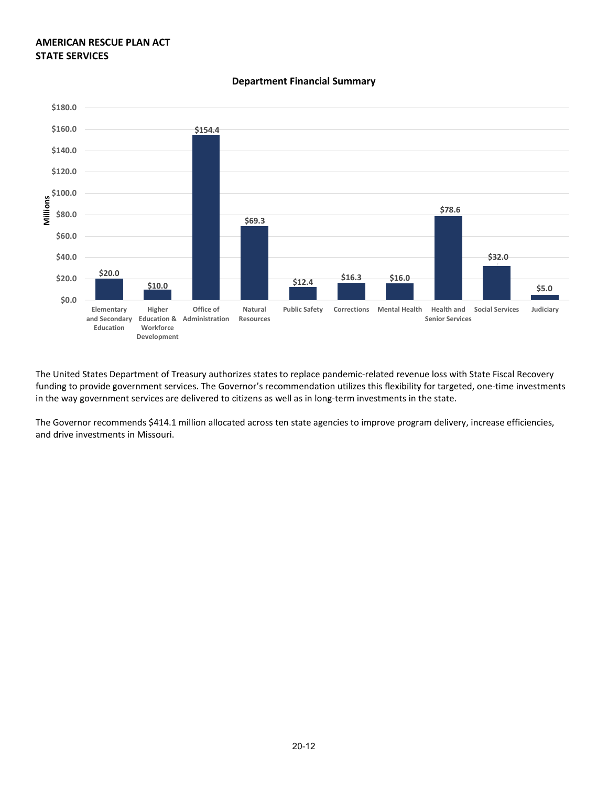#### **AMERICAN RESCUE PLAN ACT STATE SERVICES**



#### **Department Financial Summary**

The United States Department of Treasury authorizes states to replace pandemic-related revenue loss with State Fiscal Recovery funding to provide government services. The Governor's recommendation utilizes this flexibility for targeted, one-time investments in the way government services are delivered to citizens as well as in long-term investments in the state.

The Governor recommends \$414.1 million allocated across ten state agencies to improve program delivery, increase efficiencies, and drive investments in Missouri.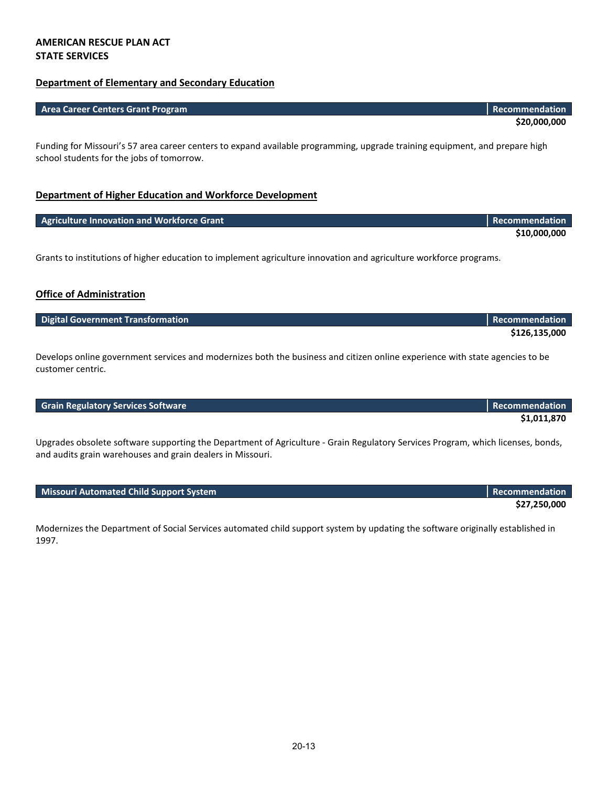#### **AMERICAN RESCUE PLAN ACT STATE SERVICES**

#### **Department of Elementary and Secondary Education**

| <b>Area Career Centers Grant Program</b> | <b>Recommendation</b> |
|------------------------------------------|-----------------------|
|                                          | \$20,000,000          |

Funding for Missouri's 57 area career centers to expand available programming, upgrade training equipment, and prepare high school students for the jobs of tomorrow.

#### **Department of Higher Education and Workforce Development**

| Agriculture Innovation and Workforce Grant | <b>Recommendation</b> |
|--------------------------------------------|-----------------------|
|                                            | \$10,000,000          |

Grants to institutions of higher education to implement agriculture innovation and agriculture workforce programs.

#### **Office of Administration**

| <b>Digital Government Transformation</b> | l Recommendation <b>b</b> |
|------------------------------------------|---------------------------|
|                                          | \$126,135,000             |

Develops online government services and modernizes both the business and citizen online experience with state agencies to be customer centric.

#### **Grain Regulatory Services Software Recommendation Recommendation**

Upgrades obsolete software supporting the Department of Agriculture - Grain Regulatory Services Program, which licenses, bonds, and audits grain warehouses and grain dealers in Missouri.

**Missouri Automated Child Support System Recommendation Recommendation** 

Modernizes the Department of Social Services automated child support system by updating the software originally established in 1997.

**\$27,250,000**

**\$1,011,870**

**\$20,000,000**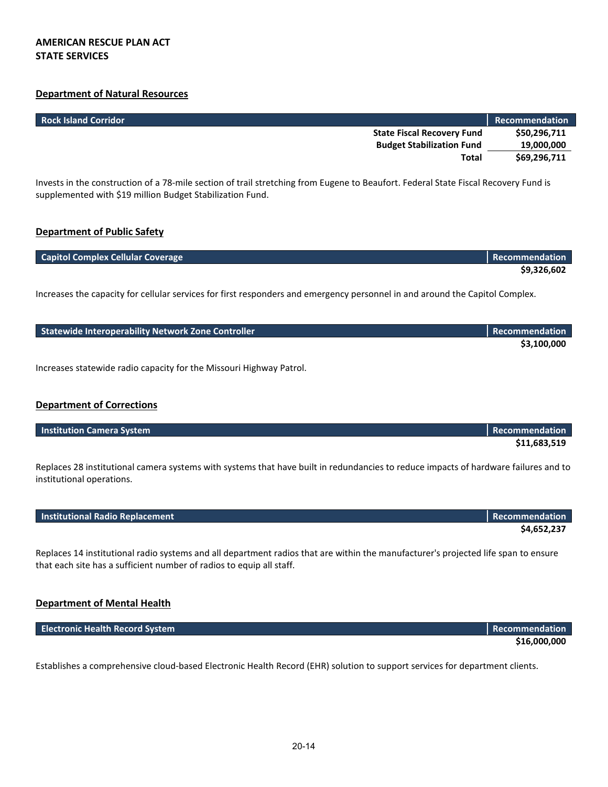#### **Department of Natural Resources**

| <b>Rock Island Corridor</b>       | <b>Recommendation</b> |
|-----------------------------------|-----------------------|
| <b>State Fiscal Recovery Fund</b> | \$50,296,711          |
| <b>Budget Stabilization Fund</b>  | 19,000,000            |
| Total                             | \$69,296,711          |

Invests in the construction of a 78-mile section of trail stretching from Eugene to Beaufort. Federal State Fiscal Recovery Fund is supplemented with \$19 million Budget Stabilization Fund.

#### **Department of Public Safety**

| <b>Capitol Complex Cellular Coverage</b> | <b>Recommendation</b> |
|------------------------------------------|-----------------------|
|                                          | \$9,326,602           |

Increases the capacity for cellular services for first responders and emergency personnel in and around the Capitol Complex.

| Statewide Interoperability Network Zone Controller | <b>Recommendation</b> |
|----------------------------------------------------|-----------------------|
|                                                    | \$3,100,000           |

Increases statewide radio capacity for the Missouri Highway Patrol.

#### **Department of Corrections**

**Department of Mental Health**

| <b>Institution Camera System</b> | <b>Recommendation</b> |
|----------------------------------|-----------------------|
|                                  | \$11,683,519          |

Replaces 28 institutional camera systems with systems that have built in redundancies to reduce impacts of hardware failures and to institutional operations.

| <b>Institutional Radio Replacement</b> | Recommendation |
|----------------------------------------|----------------|
|                                        | \$4,652,237    |

Replaces 14 institutional radio systems and all department radios that are within the manufacturer's projected life span to ensure that each site has a sufficient number of radios to equip all staff.

| <b>Electronic Health Record System</b> | <b>Recommendation</b> |
|----------------------------------------|-----------------------|
|                                        | \$16,000,000          |

Establishes a comprehensive cloud-based Electronic Health Record (EHR) solution to support services for department clients.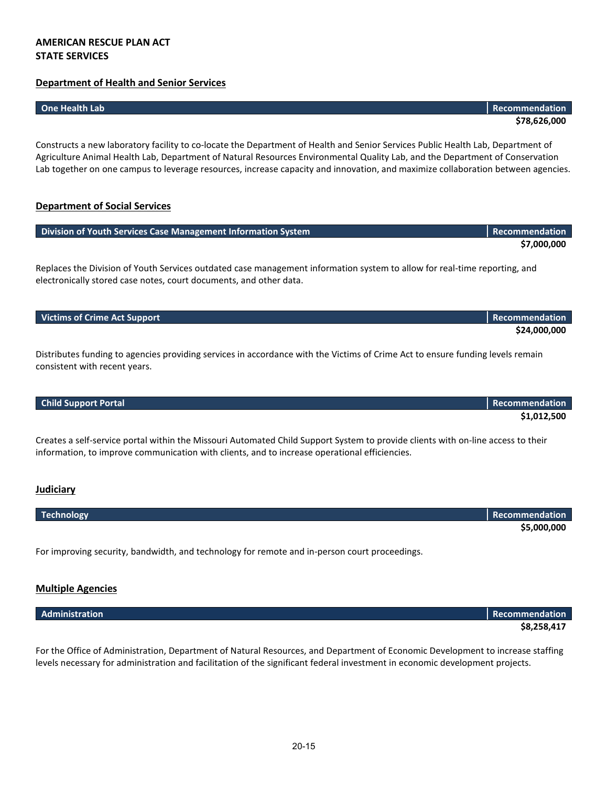#### **AMERICAN RESCUE PLAN ACT STATE SERVICES**

#### **Department of Health and Senior Services**

Constructs a new laboratory facility to co-locate the Department of Health and Senior Services Public Health Lab, Department of Agriculture Animal Health Lab, Department of Natural Resources Environmental Quality Lab, and the Department of Conservation Lab together on one campus to leverage resources, increase capacity and innovation, and maximize collaboration between agencies.

#### **Department of Social Services**

| Division of Youth Services Case Management Information System | <b>Recommendation</b> |
|---------------------------------------------------------------|-----------------------|
|                                                               | \$7,000,000           |
|                                                               |                       |

Replaces the Division of Youth Services outdated case management information system to allow for real-time reporting, and electronically stored case notes, court documents, and other data.

| <b>Victims of Crime Act Support</b> | Recommendation |
|-------------------------------------|----------------|
|                                     | \$24,000,000   |

Distributes funding to agencies providing services in accordance with the Victims of Crime Act to ensure funding levels remain consistent with recent years.

Creates a self-service portal within the Missouri Automated Child Support System to provide clients with on-line access to their information, to improve communication with clients, and to increase operational efficiencies.

#### **Judiciary**

| <b>Technology</b> | <b>Recommendation</b> |
|-------------------|-----------------------|
|                   | \$5,000,000           |

For improving security, bandwidth, and technology for remote and in-person court proceedings.

#### **Multiple Agencies**

| Administration | Recommendation |
|----------------|----------------|
|                | \$8,258,417    |

For the Office of Administration, Department of Natural Resources, and Department of Economic Development to increase staffing levels necessary for administration and facilitation of the significant federal investment in economic development projects.

**One Health Lab Recommendation \$78,626,000**

**Child Support Portal Recommendation \$1,012,500**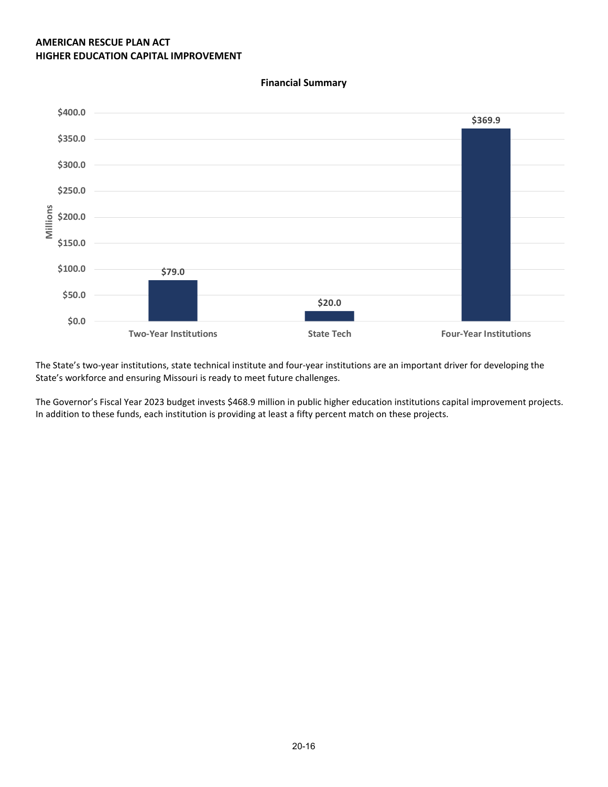**\$79.0 \$20.0 \$369.9 \$0.0 \$50.0 \$100.0 \$150.0 \$200.0 \$250.0 \$300.0 \$350.0 \$400.0 Two-Year Institutions State Tech Four-Year Institutions Millions**

**Financial Summary**

The State's two-year institutions, state technical institute and four-year institutions are an important driver for developing the State's workforce and ensuring Missouri is ready to meet future challenges.

The Governor's Fiscal Year 2023 budget invests \$468.9 million in public higher education institutions capital improvement projects. In addition to these funds, each institution is providing at least a fifty percent match on these projects.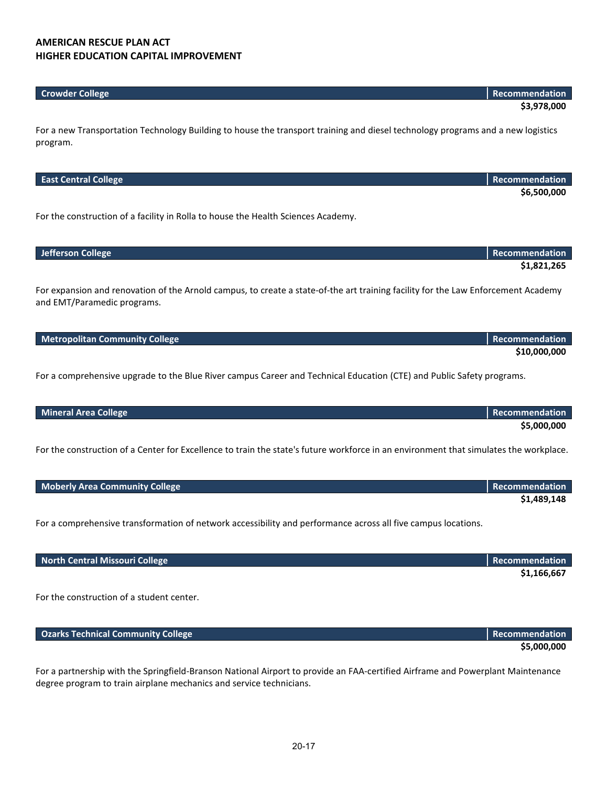| <b>Crowder College</b> | <b>Recommendation</b> |
|------------------------|-----------------------|
|                        | \$3,978,000           |

For a new Transportation Technology Building to house the transport training and diesel technology programs and a new logistics program.

| <b>East Central College</b>                                                                                                           | Recommendation        |
|---------------------------------------------------------------------------------------------------------------------------------------|-----------------------|
|                                                                                                                                       | \$6,500,000           |
|                                                                                                                                       |                       |
| For the construction of a facility in Rolla to house the Health Sciences Academy.                                                     |                       |
|                                                                                                                                       |                       |
|                                                                                                                                       |                       |
| <b>Jefferson College</b>                                                                                                              | Recommendation        |
|                                                                                                                                       |                       |
|                                                                                                                                       | \$1,821,265           |
|                                                                                                                                       |                       |
| For expansion and renovation of the Arnold campus, to create a state-of-the art training facility for the Law Enforcement Academy     |                       |
| and EMT/Paramedic programs.                                                                                                           |                       |
|                                                                                                                                       |                       |
|                                                                                                                                       |                       |
| <b>Metropolitan Community College</b>                                                                                                 | <b>Recommendation</b> |
|                                                                                                                                       | \$10,000,000          |
|                                                                                                                                       |                       |
| For a comprehensive upgrade to the Blue River campus Career and Technical Education (CTE) and Public Safety programs.                 |                       |
|                                                                                                                                       |                       |
|                                                                                                                                       |                       |
| <b>Mineral Area College</b>                                                                                                           | Recommendation        |
|                                                                                                                                       | \$5,000,000           |
|                                                                                                                                       |                       |
| For the construction of a Center for Excellence to train the state's future workforce in an environment that simulates the workplace. |                       |
|                                                                                                                                       |                       |
|                                                                                                                                       |                       |
|                                                                                                                                       |                       |

For a comprehensive transformation of network accessibility and performance across all five campus locations.

| North Central Missouri College | <b>Recommendation</b> |
|--------------------------------|-----------------------|
|                                | \$1,166,667           |

**\$1,489,148**

For the construction of a student center.

| <b>Ozarks Technical Community College</b> | <b>Recommendation</b> |
|-------------------------------------------|-----------------------|
|                                           | \$5,000,000           |

For a partnership with the Springfield-Branson National Airport to provide an FAA-certified Airframe and Powerplant Maintenance degree program to train airplane mechanics and service technicians.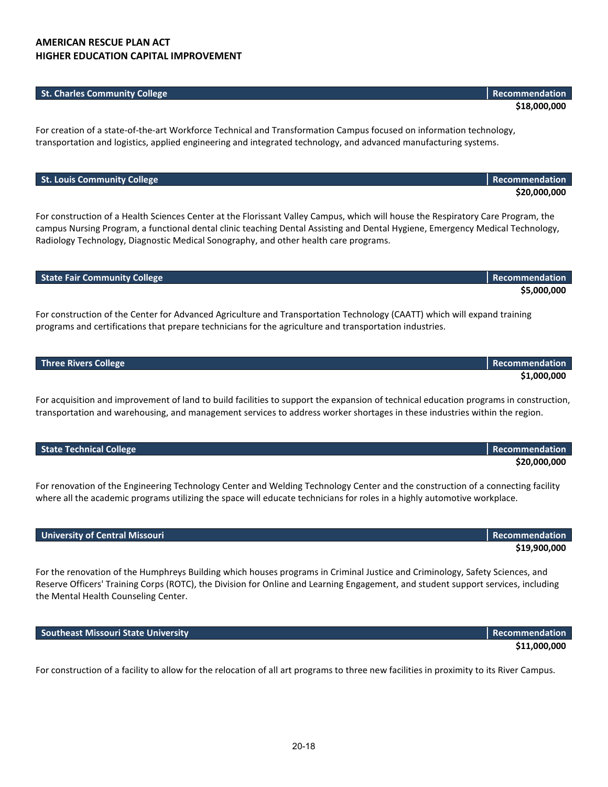#### **St. Charles Community College Recommendation Recommendation**

For creation of a state-of-the-art Workforce Technical and Transformation Campus focused on information technology, transportation and logistics, applied engineering and integrated technology, and advanced manufacturing systems.

| For construction of a Health Sciences Center at the Florissant Valley Campus, which will house the Respiratory Care Program, the |
|----------------------------------------------------------------------------------------------------------------------------------|
| campus Nursing Program, a functional dental clinic teaching Dental Assisting and Dental Hygiene, Emergency Medical Technology,   |
| Radiology Technology, Diagnostic Medical Sonography, and other health care programs.                                             |

| <b>State Fair Community College</b> | Recommendation |
|-------------------------------------|----------------|
|                                     | \$5,000,000    |
|                                     |                |

For construction of the Center for Advanced Agriculture and Transportation Technology (CAATT) which will expand training programs and certifications that prepare technicians for the agriculture and transportation industries.

| <b>Three Rivers College</b> | <b>Recommendation</b> |
|-----------------------------|-----------------------|
|                             | \$1,000,000           |

For acquisition and improvement of land to build facilities to support the expansion of technical education programs in construction, transportation and warehousing, and management services to address worker shortages in these industries within the region.

| State Technical College | Recommendation |
|-------------------------|----------------|
|                         | \$20,000,000   |

For renovation of the Engineering Technology Center and Welding Technology Center and the construction of a connecting facility where all the academic programs utilizing the space will educate technicians for roles in a highly automotive workplace.

#### **University of Central Missouri** Recommendation and the commendation and the commendation **Recommendation**

For the renovation of the Humphreys Building which houses programs in Criminal Justice and Criminology, Safety Sciences, and Reserve Officers' Training Corps (ROTC), the Division for Online and Learning Engagement, and student support services, including the Mental Health Counseling Center.

**Southeast Missouri State University Recommendation Recommendation** 

For construction of a facility to allow for the relocation of all art programs to three new facilities in proximity to its River Campus.

# **\$19,900,000**

**\$11,000,000**

**St. Louis Community College Recommendation** 

**\$20,000,000**

**\$18,000,000**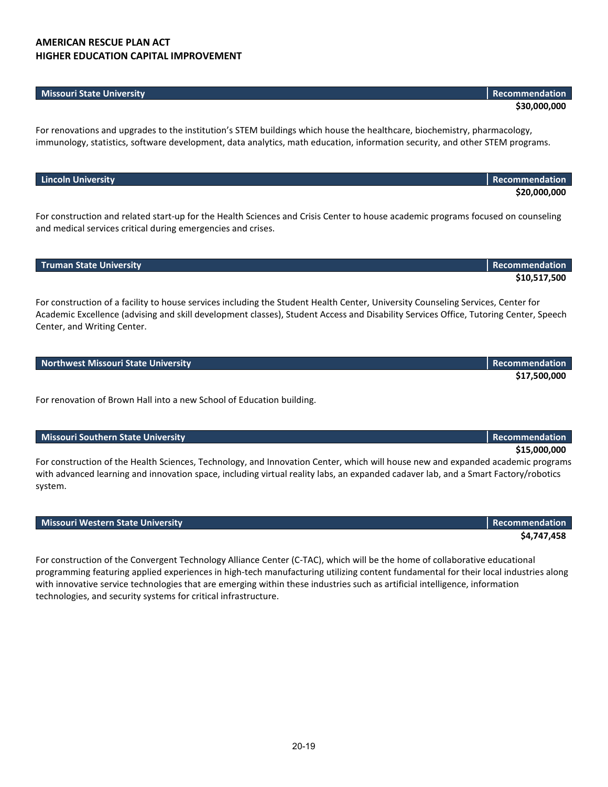#### **Missouri State University Recommendation**

For renovations and upgrades to the institution's STEM buildings which house the healthcare, biochemistry, pharmacology, immunology, statistics, software development, data analytics, math education, information security, and other STEM programs.

| $\blacksquare$                                                                                                               |              |
|------------------------------------------------------------------------------------------------------------------------------|--------------|
|                                                                                                                              | \$20,000,000 |
|                                                                                                                              |              |
| . Ferrando dia cada delete de de de la dedica de la cience en la Citate Centerte le conceptante nomina ferrandez en concelho |              |

For construction and related start-up for the Health Sciences and Crisis Center to house academic programs focused on counseling and medical services critical during emergencies and crises.

| <b>Truman State University</b> | <b>Recommendation</b> |
|--------------------------------|-----------------------|
|                                | \$10,517,500          |

For construction of a facility to house services including the Student Health Center, University Counseling Services, Center for Academic Excellence (advising and skill development classes), Student Access and Disability Services Office, Tutoring Center, Speech Center, and Writing Center.

|  |  | <b>Northwest Missouri State University</b> |
|--|--|--------------------------------------------|
|  |  |                                            |
|  |  |                                            |

For renovation of Brown Hall into a new School of Education building.

#### **Missouri Southern State University Recommendation** Recommendation

For construction of the Health Sciences, Technology, and Innovation Center, which will house new and expanded academic programs with advanced learning and innovation space, including virtual reality labs, an expanded cadaver lab, and a Smart Factory/robotics system.

#### **Missouri Western State University Recommendation** Recommendation Recommendation

For construction of the Convergent Technology Alliance Center (C-TAC), which will be the home of collaborative educational programming featuring applied experiences in high-tech manufacturing utilizing content fundamental for their local industries along with innovative service technologies that are emerging within these industries such as artificial intelligence, information technologies, and security systems for critical infrastructure.

## **\$15,000,000**

**\$4,747,458**

# **Lincoln University Recommendation**

**\$30,000,000**

**\$17,500,000**

**Recommendation**